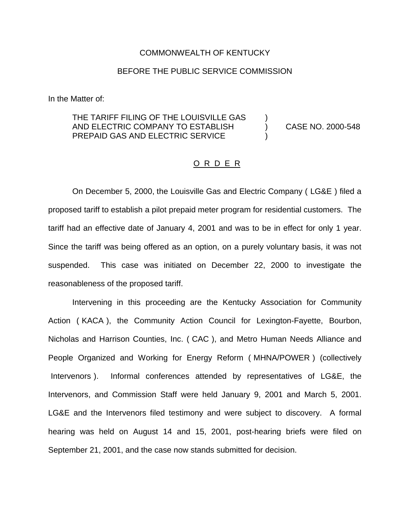## COMMONWEALTH OF KENTUCKY

## BEFORE THE PUBLIC SERVICE COMMISSION

In the Matter of:

## THE TARIFF FILING OF THE LOUISVILLE GAS ) AND ELECTRIC COMPANY TO ESTABLISH (2000-548) PREPAID GAS AND ELECTRIC SERVICE

## O R D E R

On December 5, 2000, the Louisville Gas and Electric Company ( LG&E ) filed a proposed tariff to establish a pilot prepaid meter program for residential customers. The tariff had an effective date of January 4, 2001 and was to be in effect for only 1 year. Since the tariff was being offered as an option, on a purely voluntary basis, it was not suspended. This case was initiated on December 22, 2000 to investigate the reasonableness of the proposed tariff.

Intervening in this proceeding are the Kentucky Association for Community Action ( KACA ), the Community Action Council for Lexington-Fayette, Bourbon, Nicholas and Harrison Counties, Inc. ( CAC ), and Metro Human Needs Alliance and People Organized and Working for Energy Reform ( MHNA/POWER ) (collectively Intervenors ). Informal conferences attended by representatives of LG&E, the Intervenors, and Commission Staff were held January 9, 2001 and March 5, 2001. LG&E and the Intervenors filed testimony and were subject to discovery. A formal hearing was held on August 14 and 15, 2001, post-hearing briefs were filed on September 21, 2001, and the case now stands submitted for decision.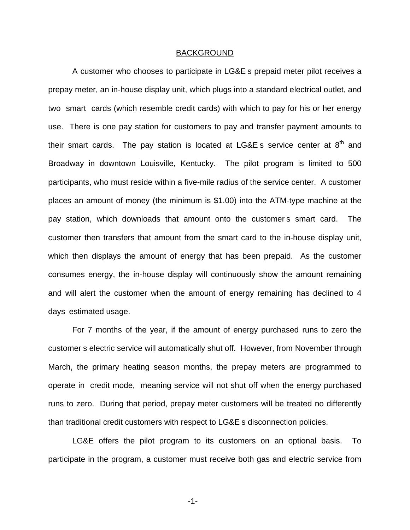### BACKGROUND

A customer who chooses to participate in LG&E s prepaid meter pilot receives a prepay meter, an in-house display unit, which plugs into a standard electrical outlet, and two smart cards (which resemble credit cards) with which to pay for his or her energy use. There is one pay station for customers to pay and transfer payment amounts to their smart cards. The pay station is located at  $LGAE$  s service center at  $8<sup>th</sup>$  and Broadway in downtown Louisville, Kentucky. The pilot program is limited to 500 participants, who must reside within a five-mile radius of the service center. A customer places an amount of money (the minimum is \$1.00) into the ATM-type machine at the pay station, which downloads that amount onto the customer s smart card. The customer then transfers that amount from the smart card to the in-house display unit, which then displays the amount of energy that has been prepaid. As the customer consumes energy, the in-house display will continuously show the amount remaining and will alert the customer when the amount of energy remaining has declined to 4 days estimated usage.

For 7 months of the year, if the amount of energy purchased runs to zero the customer s electric service will automatically shut off. However, from November through March, the primary heating season months, the prepay meters are programmed to operate in credit mode, meaning service will not shut off when the energy purchased runs to zero. During that period, prepay meter customers will be treated no differently than traditional credit customers with respect to LG&E s disconnection policies.

LG&E offers the pilot program to its customers on an optional basis. To participate in the program, a customer must receive both gas and electric service from

-1-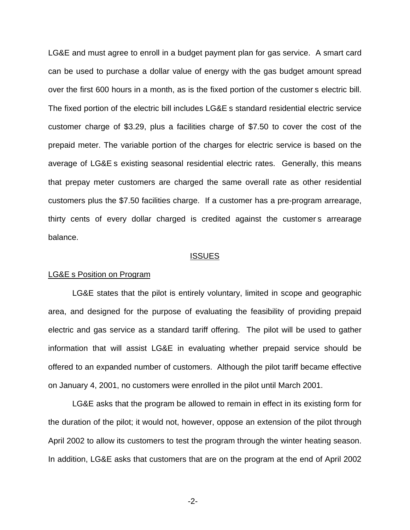LG&E and must agree to enroll in a budget payment plan for gas service. A smart card can be used to purchase a dollar value of energy with the gas budget amount spread over the first 600 hours in a month, as is the fixed portion of the customer s electric bill. The fixed portion of the electric bill includes LG&E s standard residential electric service customer charge of \$3.29, plus a facilities charge of \$7.50 to cover the cost of the prepaid meter. The variable portion of the charges for electric service is based on the average of LG&E s existing seasonal residential electric rates. Generally, this means that prepay meter customers are charged the same overall rate as other residential customers plus the \$7.50 facilities charge. If a customer has a pre-program arrearage, thirty cents of every dollar charged is credited against the customer s arrearage balance.

#### **ISSUES**

#### LG&E s Position on Program

LG&E states that the pilot is entirely voluntary, limited in scope and geographic area, and designed for the purpose of evaluating the feasibility of providing prepaid electric and gas service as a standard tariff offering. The pilot will be used to gather information that will assist LG&E in evaluating whether prepaid service should be offered to an expanded number of customers. Although the pilot tariff became effective on January 4, 2001, no customers were enrolled in the pilot until March 2001.

LG&E asks that the program be allowed to remain in effect in its existing form for the duration of the pilot; it would not, however, oppose an extension of the pilot through April 2002 to allow its customers to test the program through the winter heating season. In addition, LG&E asks that customers that are on the program at the end of April 2002

-2-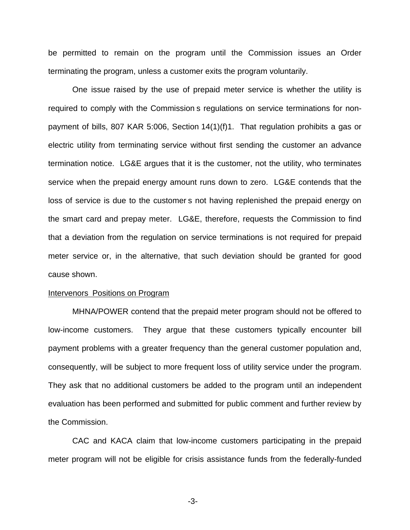be permitted to remain on the program until the Commission issues an Order terminating the program, unless a customer exits the program voluntarily.

One issue raised by the use of prepaid meter service is whether the utility is required to comply with the Commission s regulations on service terminations for nonpayment of bills, 807 KAR 5:006, Section 14(1)(f)1. That regulation prohibits a gas or electric utility from terminating service without first sending the customer an advance termination notice. LG&E argues that it is the customer, not the utility, who terminates service when the prepaid energy amount runs down to zero. LG&E contends that the loss of service is due to the customer s not having replenished the prepaid energy on the smart card and prepay meter. LG&E, therefore, requests the Commission to find that a deviation from the regulation on service terminations is not required for prepaid meter service or, in the alternative, that such deviation should be granted for good cause shown.

#### Intervenors Positions on Program

MHNA/POWER contend that the prepaid meter program should not be offered to low-income customers. They argue that these customers typically encounter bill payment problems with a greater frequency than the general customer population and, consequently, will be subject to more frequent loss of utility service under the program. They ask that no additional customers be added to the program until an independent evaluation has been performed and submitted for public comment and further review by the Commission.

CAC and KACA claim that low-income customers participating in the prepaid meter program will not be eligible for crisis assistance funds from the federally-funded

-3-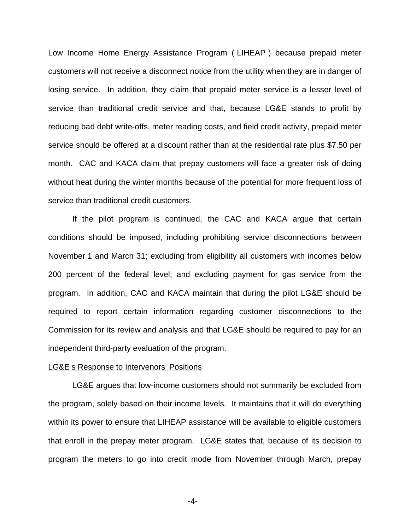Low Income Home Energy Assistance Program ( LIHEAP ) because prepaid meter customers will not receive a disconnect notice from the utility when they are in danger of losing service. In addition, they claim that prepaid meter service is a lesser level of service than traditional credit service and that, because LG&E stands to profit by reducing bad debt write-offs, meter reading costs, and field credit activity, prepaid meter service should be offered at a discount rather than at the residential rate plus \$7.50 per month. CAC and KACA claim that prepay customers will face a greater risk of doing without heat during the winter months because of the potential for more frequent loss of service than traditional credit customers.

If the pilot program is continued, the CAC and KACA argue that certain conditions should be imposed, including prohibiting service disconnections between November 1 and March 31; excluding from eligibility all customers with incomes below 200 percent of the federal level; and excluding payment for gas service from the program. In addition, CAC and KACA maintain that during the pilot LG&E should be required to report certain information regarding customer disconnections to the Commission for its review and analysis and that LG&E should be required to pay for an independent third-party evaluation of the program.

### LG&E s Response to Intervenors Positions

LG&E argues that low-income customers should not summarily be excluded from the program, solely based on their income levels. It maintains that it will do everything within its power to ensure that LIHEAP assistance will be available to eligible customers that enroll in the prepay meter program. LG&E states that, because of its decision to program the meters to go into credit mode from November through March, prepay

-4-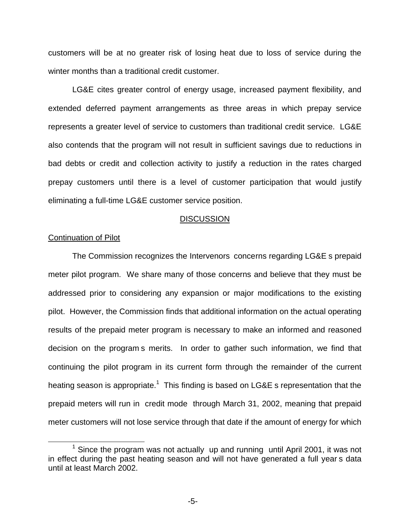customers will be at no greater risk of losing heat due to loss of service during the winter months than a traditional credit customer.

LG&E cites greater control of energy usage, increased payment flexibility, and extended deferred payment arrangements as three areas in which prepay service represents a greater level of service to customers than traditional credit service. LG&E also contends that the program will not result in sufficient savings due to reductions in bad debts or credit and collection activity to justify a reduction in the rates charged prepay customers until there is a level of customer participation that would justify eliminating a full-time LG&E customer service position.

### **DISCUSSION**

## Continuation of Pilot

The Commission recognizes the Intervenors concerns regarding LG&E s prepaid meter pilot program. We share many of those concerns and believe that they must be addressed prior to considering any expansion or major modifications to the existing pilot. However, the Commission finds that additional information on the actual operating results of the prepaid meter program is necessary to make an informed and reasoned decision on the program s merits. In order to gather such information, we find that continuing the pilot program in its current form through the remainder of the current heating season is appropriate.<sup>1</sup> This finding is based on LG&E s representation that the prepaid meters will run in credit mode through March 31, 2002, meaning that prepaid meter customers will not lose service through that date if the amount of energy for which

 $1$  Since the program was not actually up and running until April 2001, it was not in effect during the past heating season and will not have generated a full year s data until at least March 2002.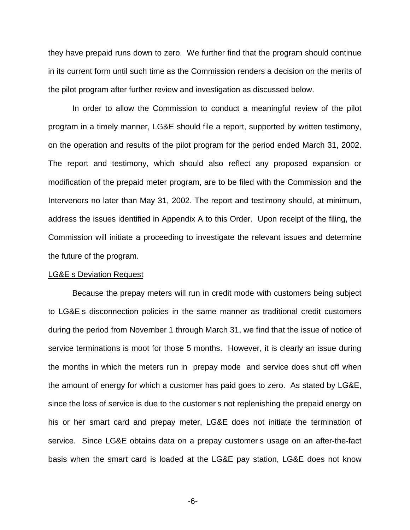they have prepaid runs down to zero. We further find that the program should continue in its current form until such time as the Commission renders a decision on the merits of the pilot program after further review and investigation as discussed below.

In order to allow the Commission to conduct a meaningful review of the pilot program in a timely manner, LG&E should file a report, supported by written testimony, on the operation and results of the pilot program for the period ended March 31, 2002. The report and testimony, which should also reflect any proposed expansion or modification of the prepaid meter program, are to be filed with the Commission and the Intervenors no later than May 31, 2002. The report and testimony should, at minimum, address the issues identified in Appendix A to this Order. Upon receipt of the filing, the Commission will initiate a proceeding to investigate the relevant issues and determine the future of the program.

#### LG&E s Deviation Request

Because the prepay meters will run in credit mode with customers being subject to LG&E s disconnection policies in the same manner as traditional credit customers during the period from November 1 through March 31, we find that the issue of notice of service terminations is moot for those 5 months. However, it is clearly an issue during the months in which the meters run in prepay mode and service does shut off when the amount of energy for which a customer has paid goes to zero. As stated by LG&E, since the loss of service is due to the customer s not replenishing the prepaid energy on his or her smart card and prepay meter, LG&E does not initiate the termination of service. Since LG&E obtains data on a prepay customer s usage on an after-the-fact basis when the smart card is loaded at the LG&E pay station, LG&E does not know

-6-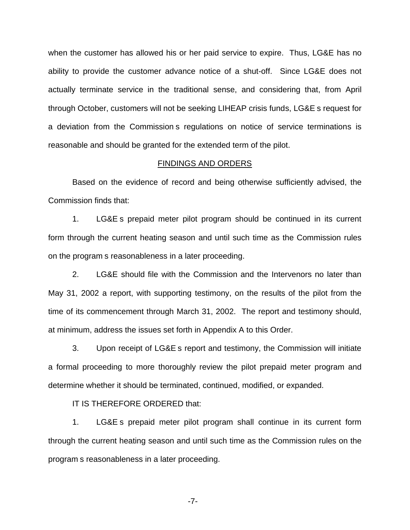when the customer has allowed his or her paid service to expire. Thus, LG&E has no ability to provide the customer advance notice of a shut-off. Since LG&E does not actually terminate service in the traditional sense, and considering that, from April through October, customers will not be seeking LIHEAP crisis funds, LG&E s request for a deviation from the Commission s regulations on notice of service terminations is reasonable and should be granted for the extended term of the pilot.

### FINDINGS AND ORDERS

Based on the evidence of record and being otherwise sufficiently advised, the Commission finds that:

1. LG&E s prepaid meter pilot program should be continued in its current form through the current heating season and until such time as the Commission rules on the program s reasonableness in a later proceeding.

2. LG&E should file with the Commission and the Intervenors no later than May 31, 2002 a report, with supporting testimony, on the results of the pilot from the time of its commencement through March 31, 2002. The report and testimony should, at minimum, address the issues set forth in Appendix A to this Order.

3. Upon receipt of LG&E s report and testimony, the Commission will initiate a formal proceeding to more thoroughly review the pilot prepaid meter program and determine whether it should be terminated, continued, modified, or expanded.

IT IS THEREFORE ORDERED that:

1. LG&E s prepaid meter pilot program shall continue in its current form through the current heating season and until such time as the Commission rules on the program s reasonableness in a later proceeding.

-7-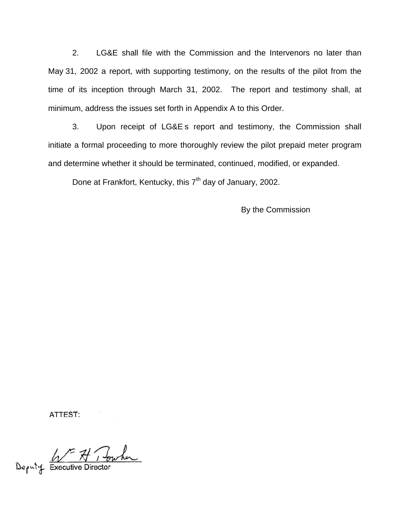2. LG&E shall file with the Commission and the Intervenors no later than May 31, 2002 a report, with supporting testimony, on the results of the pilot from the time of its inception through March 31, 2002. The report and testimony shall, at minimum, address the issues set forth in Appendix A to this Order.

3. Upon receipt of LG&E s report and testimony, the Commission shall initiate a formal proceeding to more thoroughly review the pilot prepaid meter program and determine whether it should be terminated, continued, modified, or expanded.

Done at Frankfort, Kentucky, this  $7<sup>th</sup>$  day of January, 2002.

By the Commission

ATTEST:

Deputy Executive Director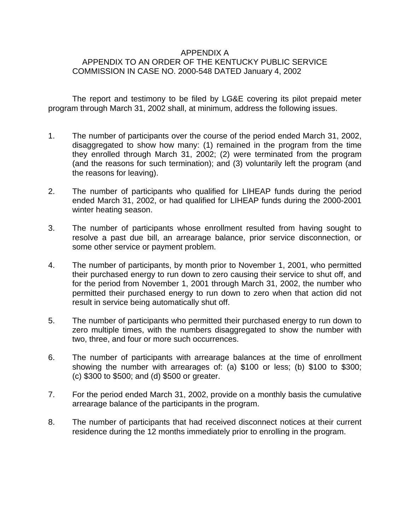# APPENDIX A APPENDIX TO AN ORDER OF THE KENTUCKY PUBLIC SERVICE COMMISSION IN CASE NO. 2000-548 DATED January 4, 2002

The report and testimony to be filed by LG&E covering its pilot prepaid meter program through March 31, 2002 shall, at minimum, address the following issues.

- 1. The number of participants over the course of the period ended March 31, 2002, disaggregated to show how many: (1) remained in the program from the time they enrolled through March 31, 2002; (2) were terminated from the program (and the reasons for such termination); and (3) voluntarily left the program (and the reasons for leaving).
- 2. The number of participants who qualified for LIHEAP funds during the period ended March 31, 2002, or had qualified for LIHEAP funds during the 2000-2001 winter heating season.
- 3. The number of participants whose enrollment resulted from having sought to resolve a past due bill, an arrearage balance, prior service disconnection, or some other service or payment problem.
- 4. The number of participants, by month prior to November 1, 2001, who permitted their purchased energy to run down to zero causing their service to shut off, and for the period from November 1, 2001 through March 31, 2002, the number who permitted their purchased energy to run down to zero when that action did not result in service being automatically shut off.
- 5. The number of participants who permitted their purchased energy to run down to zero multiple times, with the numbers disaggregated to show the number with two, three, and four or more such occurrences.
- 6. The number of participants with arrearage balances at the time of enrollment showing the number with arrearages of: (a) \$100 or less; (b) \$100 to \$300; (c) \$300 to \$500; and (d) \$500 or greater.
- 7. For the period ended March 31, 2002, provide on a monthly basis the cumulative arrearage balance of the participants in the program.
- 8. The number of participants that had received disconnect notices at their current residence during the 12 months immediately prior to enrolling in the program.